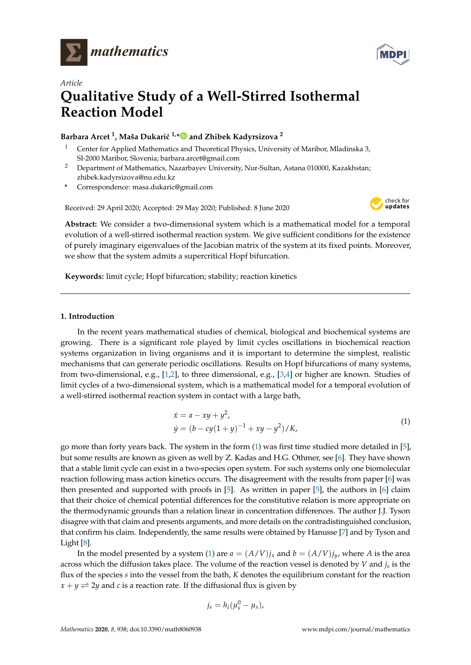



# *Article* **Qualitative Study of a Well-Stirred Isothermal Reaction Model**

# **Barbara Arcet <sup>1</sup>, Maša Dukarić <sup>1,</sup>[\\*](https://orcid.org/0000-0003-0369-3466)** $\bullet$  **and Zhibek Kadyrsizova <sup>2</sup>**

- <sup>1</sup> Center for Applied Mathematics and Theoretical Physics, University of Maribor, Mladinska 3, SI-2000 Maribor, Slovenia; barbara.arcet@gmail.com
- <sup>2</sup> Department of Mathematics, Nazarbayev University, Nur-Sultan, Astana 010000, Kazakhstan; zhibek.kadyrsizova@nu.edu.kz
- **\*** Correspondence: masa.dukaric@gmail.com

Received: 29 April 2020; Accepted: 29 May 2020; Published: 8 June 2020



**Abstract:** We consider a two-dimensional system which is a mathematical model for a temporal evolution of a well-stirred isothermal reaction system. We give sufficient conditions for the existence of purely imaginary eigenvalues of the Jacobian matrix of the system at its fixed points. Moreover, we show that the system admits a supercritical Hopf bifurcation.

**Keywords:** limit cycle; Hopf bifurcation; stability; reaction kinetics

## **1. Introduction**

In the recent years mathematical studies of chemical, biological and biochemical systems are growing. There is a significant role played by limit cycles oscillations in biochemical reaction systems organization in living organisms and it is important to determine the simplest, realistic mechanisms that can generate periodic oscillations. Results on Hopf bifurcations of many systems, from two-dimensional, e.g., [\[1](#page-9-0)[,2\]](#page-9-1), to three dimensional, e.g., [\[3](#page-9-2)[,4\]](#page-9-3) or higher are known. Studies of limit cycles of a two-dimensional system, which is a mathematical model for a temporal evolution of a well-stirred isothermal reaction system in contact with a large bath,

<span id="page-0-0"></span>
$$
\begin{aligned} \dot{x} &= a - xy + y^2, \\ \dot{y} &= (b - cy(1 + y)^{-1} + xy - y^2) / K, \end{aligned} \tag{1}
$$

go more than forty years back. The system in the form [\(1\)](#page-0-0) was first time studied more detailed in [\[5\]](#page-9-4), but some results are known as given as well by Z. Kadas and H.G. Othmer, see [\[6\]](#page-9-5). They have shown that a stable limit cycle can exist in a two-species open system. For such systems only one biomolecular reaction following mass action kinetics occurs. The disagreement with the results from paper [\[6\]](#page-9-5) was then presented and supported with proofs in [\[5\]](#page-9-4). As written in paper [\[5\]](#page-9-4), the authors in [\[6\]](#page-9-5) claim that their choice of chemical potential differences for the constitutive relation is more appropriate on the thermodynamic grounds than a relation linear in concentration differences. The author J.J. Tyson disagree with that claim and presents arguments, and more details on the contradistinguished conclusion, that confirm his claim. Independently, the same results were obtained by Hanusse [\[7\]](#page-9-6) and by Tyson and Light [\[8\]](#page-9-7).

In the model presented by a system [\(1\)](#page-0-0) are  $a = (A/V)j_x$  and  $b = (A/V)j_y$ , where A is the area across which the diffusion takes place. The volume of the reaction vessel is denoted by *V* and *j<sup>s</sup>* is the flux of the species *s* into the vessel from the bath, *K* denotes the equilibrium constant for the reaction  $x + y \rightleftharpoons 2y$  and *c* is a reaction rate. If the diffusional flux is given by

$$
j_s=h_i(\mu_s^0-\mu_s),
$$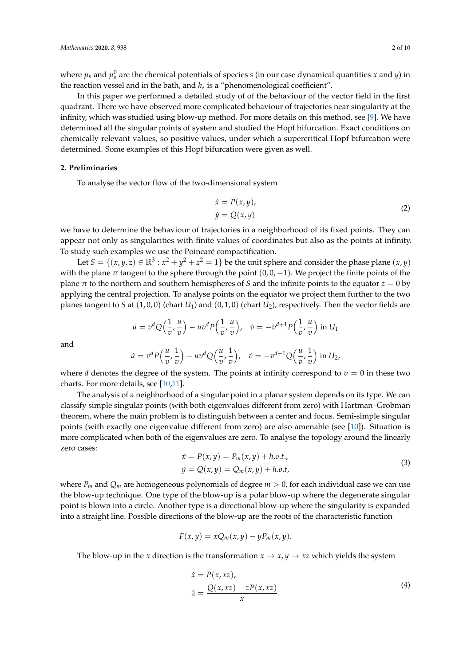where  $\mu_s$  and  $\mu_s^0$  are the chemical potentials of species *s* (in our case dynamical quantities *x* and *y*) in the reaction vessel and in the bath, and *h<sup>s</sup>* is a "phenomenological coefficient".

In this paper we performed a detailed study of of the behaviour of the vector field in the first quadrant. There we have observed more complicated behaviour of trajectories near singularity at the infinity, which was studied using blow-up method. For more details on this method, see [\[9\]](#page-9-8). We have determined all the singular points of system and studied the Hopf bifurcation. Exact conditions on chemically relevant values, so positive values, under which a supercritical Hopf bifurcation were determined. Some examples of this Hopf bifurcation were given as well.

#### **2. Preliminaries**

To analyse the vector flow of the two-dimensional system

*v*

<span id="page-1-2"></span>
$$
\begin{aligned} \dot{x} &= P(x, y), \\ \dot{y} &= Q(x, y) \end{aligned} \tag{2}
$$

*v*

we have to determine the behaviour of trajectories in a neighborhood of its fixed points. They can appear not only as singularities with finite values of coordinates but also as the points at infinity. To study such examples we use the Poincaré compactification.

Let  $S = \{(x, y, z) \in \mathbb{R}^3 : x^2 + y^2 + z^2 = 1\}$  be the unit sphere and consider the phase plane  $(x, y)$ with the plane  $\pi$  tangent to the sphere through the point  $(0, 0, -1)$ . We project the finite points of the plane  $\pi$  to the northern and southern hemispheres of *S* and the infinite points to the equator  $z = 0$  by applying the central projection. To analyse points on the equator we project them further to the two planes tangent to *S* at (1, 0, 0) (chart *U*1) and (0, 1, 0) (chart *U*2), respectively. Then the vector fields are

$$
\dot{u} = v^d Q\left(\frac{1}{v}, \frac{u}{v}\right) - u v^d P\left(\frac{1}{v}, \frac{u}{v}\right), \quad \dot{v} = -v^{d+1} P\left(\frac{1}{v}, \frac{u}{v}\right) \text{ in } U_1
$$
\n
$$
\dot{u} = v^d P\left(\frac{u}{v}, \frac{1}{v}\right) - u v^d Q\left(\frac{u}{v}, \frac{1}{v}\right), \quad \dot{v} = -v^{d+1} Q\left(\frac{u}{v}, \frac{1}{v}\right) \text{ in } U_2,
$$

and

where 
$$
d
$$
 denotes the degree of the system. The points at infinity correspond to  $v = 0$  in these two charts. For more details, see [10,11].

*v*

The analysis of a neighborhood of a singular point in a planar system depends on its type. We can classify simple singular points (with both eigenvalues different from zero) with Hartman–Grobman theorem, where the main problem is to distinguish between a center and focus. Semi-simple singular points (with exactly one eigenvalue different from zero) are also amenable (see [\[10\]](#page-9-9)). Situation is more complicated when both of the eigenvalues are zero. To analyse the topology around the linearly zero cases:

<span id="page-1-0"></span>
$$
\begin{aligned} \n\dot{x} &= P(x, y) = P_m(x, y) + h.o.t., \\ \n\dot{y} &= Q(x, y) = Q_m(x, y) + h.o.t, \n\end{aligned} \tag{3}
$$

where  $P_m$  and  $Q_m$  are homogeneous polynomials of degree  $m > 0$ , for each individual case we can use the blow-up technique. One type of the blow-up is a polar blow-up where the degenerate singular point is blown into a circle. Another type is a directional blow-up where the singularity is expanded into a straight line. Possible directions of the blow-up are the roots of the characteristic function

$$
F(x,y) = xQ_m(x,y) - yP_m(x,y).
$$

The blow-up in the *x* direction is the transformation  $x \rightarrow x$ ,  $y \rightarrow xz$  which yields the system

<span id="page-1-1"></span>
$$
\begin{aligned} \n\dot{x} &= P(x, xz), \\ \n\dot{z} &= \frac{Q(x, xz) - zP(x, xz)}{x}. \n\end{aligned} \tag{4}
$$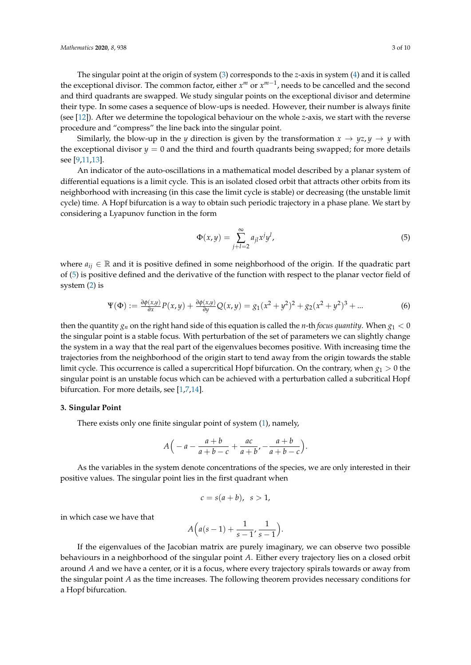The singular point at the origin of system [\(3\)](#page-1-0) corresponds to the *z*-axis in system [\(4\)](#page-1-1) and it is called the exceptional divisor. The common factor, either  $x^m$  or  $x^{m-1}$ , needs to be cancelled and the second and third quadrants are swapped. We study singular points on the exceptional divisor and determine their type. In some cases a sequence of blow-ups is needed. However, their number is always finite (see [\[12\]](#page-9-11)). After we determine the topological behaviour on the whole *z*-axis, we start with the reverse procedure and "compress" the line back into the singular point.

Similarly, the blow-up in the *y* direction is given by the transformation  $x \to yz, y \to y$  with the exceptional divisor  $y = 0$  and the third and fourth quadrants being swapped; for more details see [\[9,](#page-9-8)[11,](#page-9-10)[13\]](#page-9-12).

An indicator of the auto-oscillations in a mathematical model described by a planar system of differential equations is a limit cycle. This is an isolated closed orbit that attracts other orbits from its neighborhood with increasing (in this case the limit cycle is stable) or decreasing (the unstable limit cycle) time. A Hopf bifurcation is a way to obtain such periodic trajectory in a phase plane. We start by considering a Lyapunov function in the form

<span id="page-2-0"></span>
$$
\Phi(x,y) = \sum_{j+l=2}^{\infty} a_{jl} x^j y^l,
$$
\n(5)

where  $a_{ij} \in \mathbb{R}$  and it is positive defined in some neighborhood of the origin. If the quadratic part of [\(5\)](#page-2-0) is positive defined and the derivative of the function with respect to the planar vector field of system [\(2\)](#page-1-2) is

<span id="page-2-1"></span>
$$
\Psi(\Phi) := \frac{\partial \phi(x, y)}{\partial x} P(x, y) + \frac{\partial \phi(x, y)}{\partial y} Q(x, y) = g_1(x^2 + y^2)^2 + g_2(x^2 + y^2)^3 + \dots
$$
 (6)

then the quantity  $g_n$  on the right hand side of this equation is called the *n*-th *focus quantity*. When  $g_1 < 0$ the singular point is a stable focus. With perturbation of the set of parameters we can slightly change the system in a way that the real part of the eigenvalues becomes positive. With increasing time the trajectories from the neighborhood of the origin start to tend away from the origin towards the stable limit cycle. This occurrence is called a supercritical Hopf bifurcation. On the contrary, when  $g_1 > 0$  the singular point is an unstable focus which can be achieved with a perturbation called a subcritical Hopf bifurcation. For more details, see [\[1,](#page-9-0)[7,](#page-9-6)[14\]](#page-9-13).

#### **3. Singular Point**

There exists only one finite singular point of system [\(1\)](#page-0-0), namely,

$$
A\Big(-a-\frac{a+b}{a+b-c}+\frac{ac}{a+b},-\frac{a+b}{a+b-c}\Big).
$$

As the variables in the system denote concentrations of the species, we are only interested in their positive values. The singular point lies in the first quadrant when

$$
c = s(a+b), \ s > 1,
$$

in which case we have that

$$
A\Big(a(s-1)+\frac{1}{s-1},\frac{1}{s-1}\Big).
$$

If the eigenvalues of the Jacobian matrix are purely imaginary, we can observe two possible behaviours in a neighborhood of the singular point *A*. Either every trajectory lies on a closed orbit around *A* and we have a center, or it is a focus, where every trajectory spirals towards or away from the singular point *A* as the time increases. The following theorem provides necessary conditions for a Hopf bifurcation.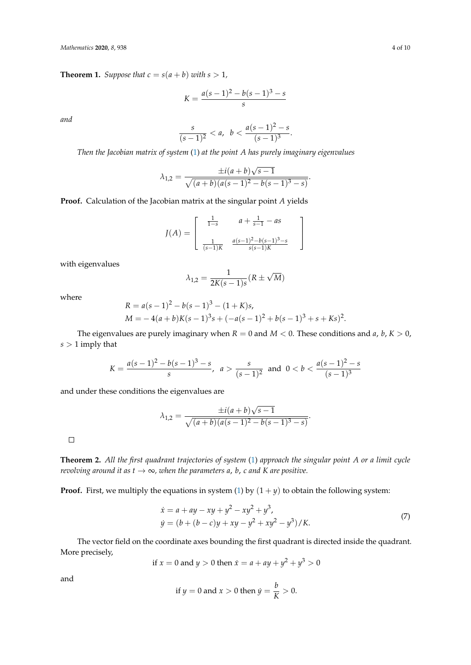<span id="page-3-1"></span>**Theorem 1.** *Suppose that*  $c = s(a + b)$  *with*  $s > 1$ *,* 

$$
K = \frac{a(s-1)^2 - b(s-1)^3 - s}{s}
$$

*and*

$$
\frac{s}{(s-1)^2} < a, \ \ b < \frac{a(s-1)^2 - s}{(s-1)^3}.
$$

*Then the Jacobian matrix of system* [\(1\)](#page-0-0) *at the point A has purely imaginary eigenvalues*

$$
\lambda_{1,2} = \frac{\pm i(a+b)\sqrt{s-1}}{\sqrt{(a+b)(a(s-1)^2 - b(s-1)^3 - s)}}.
$$

**Proof.** Calculation of the Jacobian matrix at the singular point *A* yields

$$
J(A) = \begin{bmatrix} \frac{1}{1-s} & a + \frac{1}{s-1} - as \\ \frac{1}{(s-1)K} & \frac{a(s-1)^2 - b(s-1)^3 - s}{s(s-1)K} \end{bmatrix}
$$

with eigenvalues

$$
\lambda_{1,2} = \frac{1}{2K(s-1)s}(R \pm \sqrt{M})
$$

where

$$
R = a(s-1)2 - b(s-1)3 - (1 + K)s,
$$
  
\n
$$
M = -4(a+b)K(s-1)3s + (-a(s-1)2 + b(s-1)3 + s + Ks)2.
$$

The eigenvalues are purely imaginary when  $R = 0$  and  $M < 0$ . These conditions and a, b,  $K > 0$ , *s* > 1 imply that

$$
K = \frac{a(s-1)^2 - b(s-1)^3 - s}{s}, \ a > \frac{s}{(s-1)^2} \text{ and } 0 < b < \frac{a(s-1)^2 - s}{(s-1)^3}
$$

and under these conditions the eigenvalues are

$$
\lambda_{1,2} = \frac{\pm i(a+b)\sqrt{s-1}}{\sqrt{(a+b)(a(s-1)^2 - b(s-1)^3 - s)}}.
$$

 $\Box$ 

**Theorem 2.** *All the first quadrant trajectories of system* [\(1\)](#page-0-0) *approach the singular point A or a limit cycle revolving around it as*  $t \to \infty$ *, when the parameters a, b, c and K are positive.* 

**Proof.** First, we multiply the equations in system [\(1\)](#page-0-0) by  $(1 + y)$  to obtain the following system:

<span id="page-3-0"></span>
$$
\begin{aligned} \dot{x} &= a + ay - xy + y^2 - xy^2 + y^3, \\ \dot{y} &= (b + (b - c)y + xy - y^2 + xy^2 - y^3) / K. \end{aligned} \tag{7}
$$

The vector field on the coordinate axes bounding the first quadrant is directed inside the quadrant. More precisely,

if 
$$
x = 0
$$
 and  $y > 0$  then  $\dot{x} = a + ay + y^2 + y^3 > 0$ 

and

if 
$$
y = 0
$$
 and  $x > 0$  then  $\dot{y} = \frac{b}{K} > 0$ .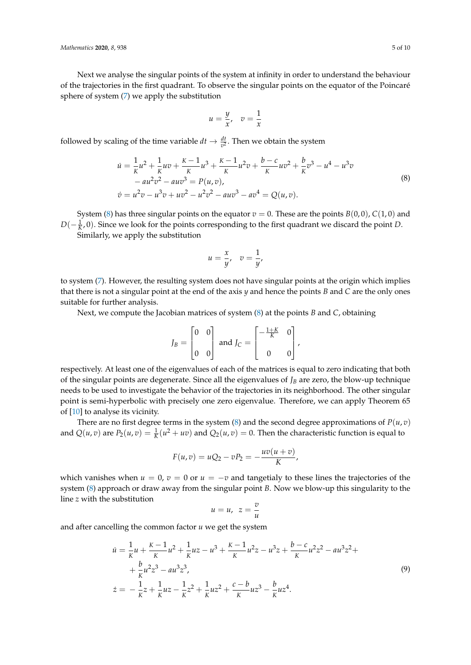Next we analyse the singular points of the system at infinity in order to understand the behaviour of the trajectories in the first quadrant. To observe the singular points on the equator of the Poincaré sphere of system [\(7\)](#page-3-0) we apply the substitution

$$
u=\frac{y}{x}, \quad v=\frac{1}{x}
$$

followed by scaling of the time variable  $dt \to \frac{dt}{v^2}$ . Then we obtain the system

<span id="page-4-0"></span>
$$
\dot{u} = \frac{1}{K}u^2 + \frac{1}{K}uv + \frac{K-1}{K}u^3 + \frac{K-1}{K}u^2v + \frac{b-c}{K}uv^2 + \frac{b}{K}v^3 - u^4 - u^3v
$$
  
\n
$$
-au^2v^2 - auv^3 = P(u,v),
$$
  
\n
$$
\dot{v} = u^2v - u^3v + uv^2 - u^2v^2 - auv^3 - av^4 = Q(u,v).
$$
\n(8)

System [\(8\)](#page-4-0) has three singular points on the equator  $v = 0$ . These are the points  $B(0,0)$ ,  $C(1,0)$  and  $D(-\frac{1}{K},0)$ . Since we look for the points corresponding to the first quadrant we discard the point *D*.

Similarly, we apply the substitution

$$
u=\frac{x}{y}, \quad v=\frac{1}{y},
$$

to system [\(7\)](#page-3-0). However, the resulting system does not have singular points at the origin which implies that there is not a singular point at the end of the axis *y* and hence the points *B* and *C* are the only ones suitable for further analysis.

Next, we compute the Jacobian matrices of system [\(8\)](#page-4-0) at the points *B* and *C*, obtaining

$$
J_B = \begin{bmatrix} 0 & 0 \\ 0 & 0 \end{bmatrix}
$$
 and 
$$
J_C = \begin{bmatrix} -\frac{1+K}{K} & 0 \\ 0 & 0 \end{bmatrix}
$$
,

respectively. At least one of the eigenvalues of each of the matrices is equal to zero indicating that both of the singular points are degenerate. Since all the eigenvalues of *J<sup>B</sup>* are zero, the blow-up technique needs to be used to investigate the behavior of the trajectories in its neighborhood. The other singular point is semi-hyperbolic with precisely one zero eigenvalue. Therefore, we can apply Theorem 65 of [\[10\]](#page-9-9) to analyse its vicinity.

There are no first degree terms in the system [\(8\)](#page-4-0) and the second degree approximations of  $P(u, v)$ and  $Q(u, v)$  are  $P_2(u, v) = \frac{1}{K}(u^2 + uv)$  and  $Q_2(u, v) = 0$ . Then the characteristic function is equal to

$$
F(u,v) = uQ_2 - vP_2 = -\frac{uv(u+v)}{K},
$$

which vanishes when  $u = 0$ ,  $v = 0$  or  $u = -v$  and tangetialy to these lines the trajectories of the system [\(8\)](#page-4-0) approach or draw away from the singular point *B*. Now we blow-up this singularity to the line *z* with the substitution

$$
u=u, \ z=\frac{v}{u}
$$

and after cancelling the common factor *u* we get the system

<span id="page-4-1"></span>
$$
\dot{u} = \frac{1}{K}u + \frac{K-1}{K}u^2 + \frac{1}{K}uz - u^3 + \frac{K-1}{K}u^2z - u^3z + \frac{b-c}{K}u^2z^2 - au^3z^2 +
$$
  
+ 
$$
\frac{b}{K}u^2z^3 - au^3z^3,
$$
  

$$
\dot{z} = -\frac{1}{K}z + \frac{1}{K}uz - \frac{1}{K}z^2 + \frac{1}{K}uz^2 + \frac{c-b}{K}uz^3 - \frac{b}{K}uz^4.
$$
 (9)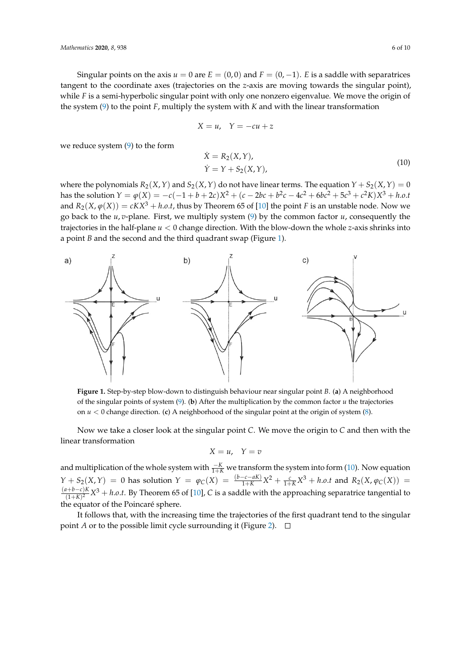Singular points on the axis  $u = 0$  are  $E = (0, 0)$  and  $F = (0, -1)$ . *E* is a saddle with separatrices tangent to the coordinate axes (trajectories on the *z*-axis are moving towards the singular point), while *F* is a semi-hyperbolic singular point with only one nonzero eigenvalue. We move the origin of the system [\(9\)](#page-4-1) to the point *F*, multiply the system with *K* and with the linear transformation

$$
X = u, \quad Y = -cu + z
$$

we reduce system [\(9\)](#page-4-1) to the form

<span id="page-5-1"></span>
$$
\dot{X} = R_2(X, Y),
$$
  
\n
$$
\dot{Y} = Y + S_2(X, Y),
$$
\n(10)

where the polynomials  $R_2(X, Y)$  and  $S_2(X, Y)$  do not have linear terms. The equation  $Y + S_2(X, Y) = 0$ has the solution  $Y = \varphi(X) = -c(-1+b+2c)X^2 + (c-2bc+b^2c-4c^2+6bc^2+5c^3+c^2K)X^3 + h.o.t$ and  $R_2(X, \varphi(X)) = cKX^3 + h.o.t$ , thus by Theorem 65 of [\[10\]](#page-9-9) the point *F* is an unstable node. Now we go back to the *u*, *v*-plane. First, we multiply system [\(9\)](#page-4-1) by the common factor *u*, consequently the trajectories in the half-plane *u* < 0 change direction. With the blow-down the whole *z*-axis shrinks into a point *B* and the second and the third quadrant swap (Figure [1\)](#page-5-0).

<span id="page-5-0"></span>

**Figure 1.** Step-by-step blow-down to distinguish behaviour near singular point *B*. (**a**) A neighborhood of the singular points of system [\(9\)](#page-4-1). (**b**) After the multiplication by the common factor *u* the trajectories on *u* < 0 change direction. (**c**) A neighborhood of the singular point at the origin of system [\(8\)](#page-4-0).

Now we take a closer look at the singular point *C*. We move the origin to *C* and then with the linear transformation

$$
X=u,\quad Y=v
$$

and multiplication of the whole system with  $\frac{-K}{1+K}$  we transform the system into form [\(10\)](#page-5-1). Now equation  $Y + S_2(X,Y) = 0$  has solution  $Y = \varphi_C(X) = \frac{(b-c-aK)}{1+K}X^2 + \frac{c}{1+K}X^3 + h.o.t$  and  $R_2(X, \varphi_C(X)) =$ (*a*+*b*−*c*)*K*  $\frac{(1+h)^2 - C}{(1+K)^2} X^3 + h.o.t.$  By Theorem 65 of [\[10\]](#page-9-9), *C* is a saddle with the approaching separatrice tangential to the equator of the Poincaré sphere.

It follows that, with the increasing time the trajectories of the first quadrant tend to the singular point *A* or to the possible limit cycle surrounding it (Figure [2\)](#page-6-0).  $\Box$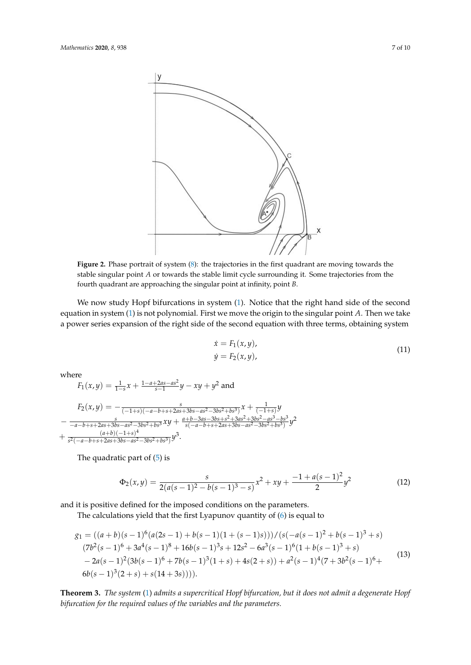<span id="page-6-0"></span>

**Figure 2.** Phase portrait of system [\(8\)](#page-4-0): the trajectories in the first quadrant are moving towards the stable singular point *A* or towards the stable limit cycle surrounding it. Some trajectories from the fourth quadrant are approaching the singular point at infinity, point *B*.

We now study Hopf bifurcations in system [\(1\)](#page-0-0). Notice that the right hand side of the second equation in system [\(1\)](#page-0-0) is not polynomial. First we move the origin to the singular point *A*. Then we take a power series expansion of the right side of the second equation with three terms, obtaining system

$$
\begin{aligned} \dot{x} &= F_1(x, y), \\ \dot{y} &= F_2(x, y), \end{aligned} \tag{11}
$$

where

$$
F_1(x,y) = \frac{1}{1-s}x + \frac{1-a+2as-as^2}{s-1}y - xy + y^2 \text{ and}
$$
  
\n
$$
F_2(x,y) = -\frac{s}{(-1+s)(-a-b+s+2as+3bs-as^2-3bs^2+bs^3)}x + \frac{1}{(-1+s)}y
$$
  
\n
$$
-\frac{s}{-a-b+s+2as+3bs-as^2-3bs^2+bs^3}xy + \frac{a+b-3as-3bs+s^2+3as^2+3bs^2-as^3-bs^3}{s(-a-b+s+2as+3bs-as^2-3bs^2+bs^3)}y^2 + \frac{(a+b)(-1+s)^4}{s^2(-a-b+s+2as+3bs-as^2-3bs^2+bs^3)}y^3.
$$

The quadratic part of [\(5\)](#page-2-0) is

$$
\Phi_2(x,y) = \frac{s}{2(a(s-1)^2 - b(s-1)^3 - s)}x^2 + xy + \frac{-1 + a(s-1)^2}{2}y^2\tag{12}
$$

and it is positive defined for the imposed conditions on the parameters.

The calculations yield that the first Lyapunov quantity of [\(6\)](#page-2-1) is equal to

<span id="page-6-1"></span>
$$
g_1 = ((a + b)(s - 1)^6(a(2s - 1) + b(s - 1)(1 + (s - 1)s)))/(s(-a(s - 1)^2 + b(s - 1)^3 + s)
$$
  
\n
$$
(7b^2(s - 1)^6 + 3a^4(s - 1)^8 + 16b(s - 1)^3s + 12s^2 - 6a^3(s - 1)^6(1 + b(s - 1)^3 + s)
$$
  
\n
$$
-2a(s - 1)^2(3b(s - 1)^6 + 7b(s - 1)^3(1 + s) + 4s(2 + s)) + a^2(s - 1)^4(7 + 3b^2(s - 1)^6 +
$$
  
\n
$$
6b(s - 1)^3(2 + s) + s(14 + 3s))
$$
) (13)

**Theorem 3.** *The system* [\(1\)](#page-0-0) *admits a supercritical Hopf bifurcation, but it does not admit a degenerate Hopf bifurcation for the required values of the variables and the parameters.*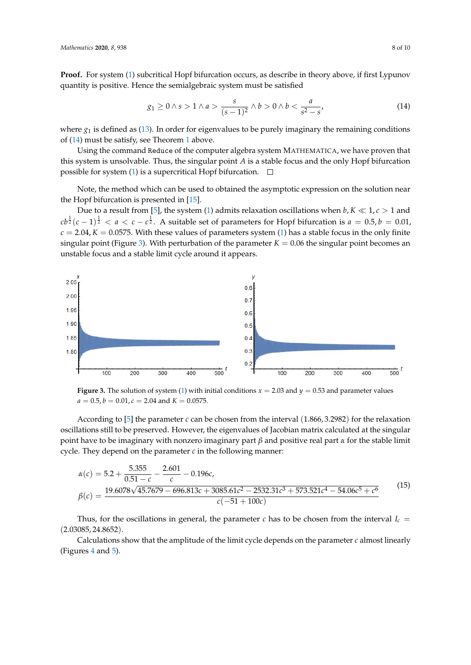**Proof.** For system [\(1\)](#page-0-0) subcritical Hopf bifurcation occurs, as describe in theory above, if first Lypunov quantity is positive. Hence the semialgebraic system must be satisfied

<span id="page-7-0"></span>
$$
g_1 \ge 0 \land s > 1 \land a > \frac{s}{(s-1)^2} \land b > 0 \land b < \frac{a}{s^2 - s'},
$$
 (14)

where  $g_1$  is defined as [\(13\)](#page-6-1). In order for eigenvalues to be purely imaginary the remaining conditions of [\(14\)](#page-7-0) must be satisfy, see Theorem [1](#page-3-1) above.

Using the command Reduce of the computer algebra system MATHEMATICA, we have proven that this system is unsolvable. Thus, the singular point *A* is a stable focus and the only Hopf bifurcation possible for system [\(1\)](#page-0-0) is a supercritical Hopf bifurcation.  $\Box$ 

Note, the method which can be used to obtained the asymptotic expression on the solution near the Hopf bifurcation is presented in [\[15\]](#page-9-14).

Due to a result from [\[5\]](#page-9-4), the system [\(1\)](#page-0-0) admits relaxation oscillations when  $b, K \ll 1, c > 1$  and  $\int c b^{\frac{1}{2}} (c-1)^{\frac{1}{2}} < a < c - c^{\frac{1}{2}}$ . A suitable set of parameters for Hopf bifurcation is  $a = 0.5$ ,  $b = 0.01$ ,  $c = 2.04$ ,  $K = 0.0575$ . With these values of parameters system [\(1\)](#page-0-0) has a stable focus in the only finite singular point (Figure [3\)](#page-7-1). With perturbation of the parameter  $K = 0.06$  the singular point becomes an unstable focus and a stable limit cycle around it appears.

<span id="page-7-1"></span>

**Figure 3.** The solution of system [\(1\)](#page-0-0) with initial conditions  $x = 2.03$  and  $y = 0.53$  and parameter values  $a = 0.5$ ,  $b = 0.01$ ,  $c = 2.04$  and  $K = 0.0575$ .

According to [\[5\]](#page-9-4) the parameter *c* can be chosen from the interval (1.866, 3.2982) for the relaxation oscillations still to be preserved. However, the eigenvalues of Jacobian matrix calculated at the singular point have to be imaginary with nonzero imaginary part *β* and positive real part *α* for the stable limit cycle. They depend on the parameter *c* in the following manner:

<span id="page-7-2"></span>
$$
\alpha(c) = 5.2 + \frac{5.355}{0.51 - c} - \frac{2.601}{c} - 0.196c,
$$
\n
$$
\beta(c) = \frac{19.6078\sqrt{45.7679 - 696.813c + 3085.61c^2 - 2532.31c^3 + 573.521c^4 - 54.06c^5 + c^6}}{c(-51 + 100c)}\tag{15}
$$

Thus, for the oscillations in general, the parameter  $c$  has to be chosen from the interval  $I_c$  = (2.03085, 24.8652).

Calculations show that the amplitude of the limit cycle depends on the parameter *c* almost linearly (Figures [4](#page-8-0) and [5\)](#page-8-1).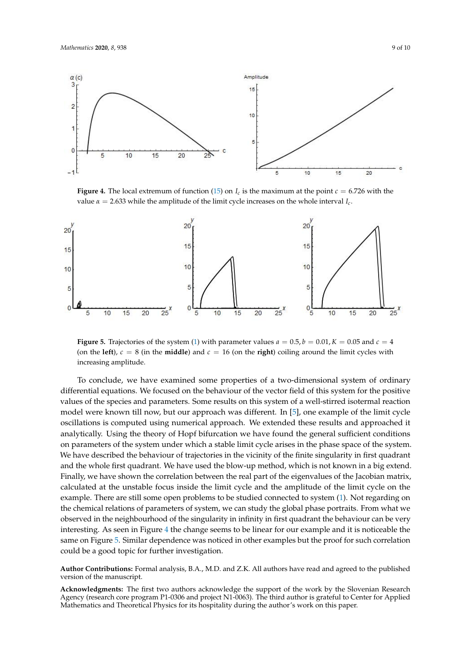<span id="page-8-0"></span>

**Figure 4.** The local extremum of function [\(15\)](#page-7-2) on  $I_c$  is the maximum at the point  $c = 6.726$  with the value  $\alpha = 2.633$  while the amplitude of the limit cycle increases on the whole interval  $I_c$ .

<span id="page-8-1"></span>

**Figure 5.** Trajectories of the system [\(1\)](#page-0-0) with parameter values  $a = 0.5$ ,  $b = 0.01$ ,  $K = 0.05$  and  $c = 4$ (on the **left**),  $c = 8$  (in the **middle**) and  $c = 16$  (on the **right**) coiling around the limit cycles with increasing amplitude.

To conclude, we have examined some properties of a two-dimensional system of ordinary differential equations. We focused on the behaviour of the vector field of this system for the positive values of the species and parameters. Some results on this system of a well-stirred isotermal reaction model were known till now, but our approach was different. In [\[5\]](#page-9-4), one example of the limit cycle oscillations is computed using numerical approach. We extended these results and approached it analytically. Using the theory of Hopf bifurcation we have found the general sufficient conditions on parameters of the system under which a stable limit cycle arises in the phase space of the system. We have described the behaviour of trajectories in the vicinity of the finite singularity in first quadrant and the whole first quadrant. We have used the blow-up method, which is not known in a big extend. Finally, we have shown the correlation between the real part of the eigenvalues of the Jacobian matrix, calculated at the unstable focus inside the limit cycle and the amplitude of the limit cycle on the example. There are still some open problems to be studied connected to system [\(1\)](#page-0-0). Not regarding on the chemical relations of parameters of system, we can study the global phase portraits. From what we observed in the neighbourhood of the singularity in infinity in first quadrant the behaviour can be very interesting. As seen in Figure [4](#page-8-0) the change seems to be linear for our example and it is noticeable the same on Figure [5.](#page-8-1) Similar dependence was noticed in other examples but the proof for such correlation could be a good topic for further investigation.

**Author Contributions:** Formal analysis, B.A., M.D. and Z.K. All authors have read and agreed to the published version of the manuscript.

**Acknowledgments:** The first two authors acknowledge the support of the work by the Slovenian Research Agency (research core program P1-0306 and project N1-0063). The third author is grateful to Center for Applied Mathematics and Theoretical Physics for its hospitality during the author's work on this paper.